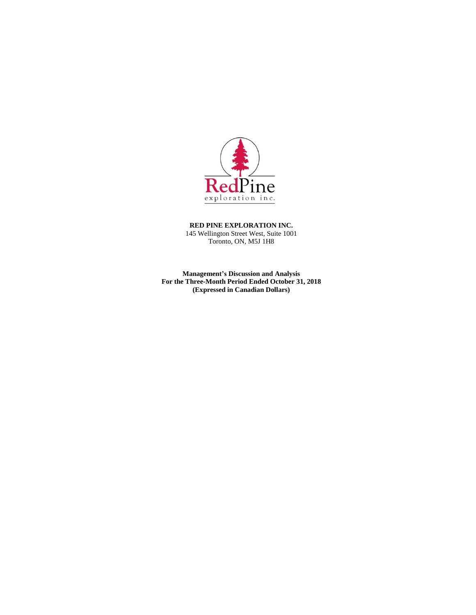

**RED PINE EXPLORATION INC.** 145 Wellington Street West, Suite 1001 Toronto, ON, M5J 1H8

**Management's Discussion and Analysis For the Three-Month Period Ended October 31, 2018 (Expressed in Canadian Dollars)**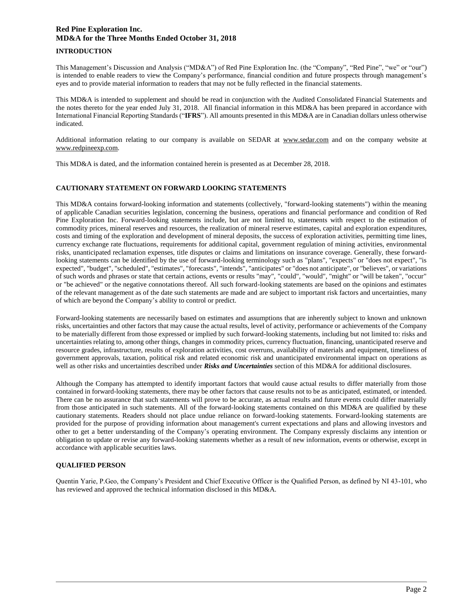### **INTRODUCTION**

This Management's Discussion and Analysis ("MD&A") of Red Pine Exploration Inc. (the "Company", "Red Pine", "we" or "our") is intended to enable readers to view the Company's performance, financial condition and future prospects through management's eyes and to provide material information to readers that may not be fully reflected in the financial statements.

This MD&A is intended to supplement and should be read in conjunction with the Audited Consolidated Financial Statements and the notes thereto for the year ended July 31, 2018. All financial information in this MD&A has been prepared in accordance with International Financial Reporting Standards ("**IFRS**"). All amounts presented in this MD&A are in Canadian dollars unless otherwise indicated.

Additional information relating to our company is available on SEDAR at www.sedar.com and on the company website at www.redpineexp.com.

This MD&A is dated, and the information contained herein is presented as at December 28, 2018.

## **CAUTIONARY STATEMENT ON FORWARD LOOKING STATEMENTS**

This MD&A contains forward-looking information and statements (collectively, "forward-looking statements") within the meaning of applicable Canadian securities legislation, concerning the business, operations and financial performance and condition of Red Pine Exploration Inc. Forward-looking statements include, but are not limited to, statements with respect to the estimation of commodity prices, mineral reserves and resources, the realization of mineral reserve estimates, capital and exploration expenditures, costs and timing of the exploration and development of mineral deposits, the success of exploration activities, permitting time lines, currency exchange rate fluctuations, requirements for additional capital, government regulation of mining activities, environmental risks, unanticipated reclamation expenses, title disputes or claims and limitations on insurance coverage. Generally, these forwardlooking statements can be identified by the use of forward-looking terminology such as "plans", "expects" or "does not expect", "is expected", "budget", "scheduled", "estimates", "forecasts", "intends", "anticipates" or "does not anticipate", or "believes", or variations of such words and phrases or state that certain actions, events or results "may", "could", "would", "might" or "will be taken", "occur" or "be achieved" or the negative connotations thereof. All such forward-looking statements are based on the opinions and estimates of the relevant management as of the date such statements are made and are subject to important risk factors and uncertainties, many of which are beyond the Company's ability to control or predict.

Forward-looking statements are necessarily based on estimates and assumptions that are inherently subject to known and unknown risks, uncertainties and other factors that may cause the actual results, level of activity, performance or achievements of the Company to be materially different from those expressed or implied by such forward-looking statements, including but not limited to: risks and uncertainties relating to, among other things, changes in commodity prices, currency fluctuation, financing, unanticipated reserve and resource grades, infrastructure, results of exploration activities, cost overruns, availability of materials and equipment, timeliness of government approvals, taxation, political risk and related economic risk and unanticipated environmental impact on operations as well as other risks and uncertainties described under *Risks and Uncertainties* section of this MD&A for additional disclosures.

Although the Company has attempted to identify important factors that would cause actual results to differ materially from those contained in forward-looking statements, there may be other factors that cause results not to be as anticipated, estimated, or intended. There can be no assurance that such statements will prove to be accurate, as actual results and future events could differ materially from those anticipated in such statements. All of the forward-looking statements contained on this MD&A are qualified by these cautionary statements. Readers should not place undue reliance on forward-looking statements. Forward-looking statements are provided for the purpose of providing information about management's current expectations and plans and allowing investors and other to get a better understanding of the Company's operating environment. The Company expressly disclaims any intention or obligation to update or revise any forward-looking statements whether as a result of new information, events or otherwise, except in accordance with applicable securities laws.

### **QUALIFIED PERSON**

Quentin Yarie, P.Geo, the Company's President and Chief Executive Officer is the Qualified Person, as defined by NI 43-101, who has reviewed and approved the technical information disclosed in this MD&A.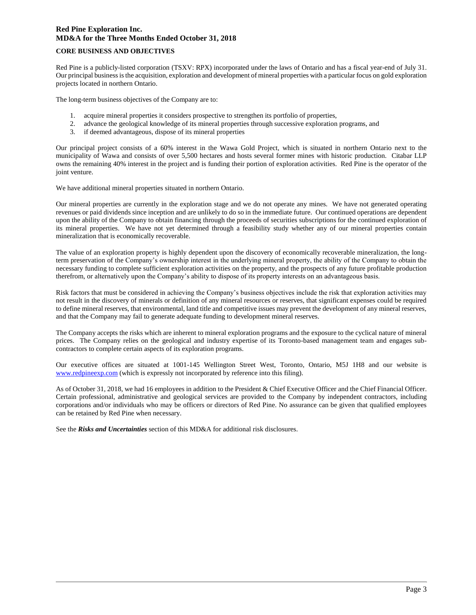## **CORE BUSINESS AND OBJECTIVES**

Red Pine is a publicly-listed corporation (TSXV: RPX) incorporated under the laws of Ontario and has a fiscal year-end of July 31. Our principal business is the acquisition, exploration and development of mineral properties with a particular focus on gold exploration projects located in northern Ontario.

The long-term business objectives of the Company are to:

- 1. acquire mineral properties it considers prospective to strengthen its portfolio of properties,
- 2. advance the geological knowledge of its mineral properties through successive exploration programs, and
- 3. if deemed advantageous, dispose of its mineral properties

Our principal project consists of a 60% interest in the Wawa Gold Project, which is situated in northern Ontario next to the municipality of Wawa and consists of over 5,500 hectares and hosts several former mines with historic production. Citabar LLP owns the remaining 40% interest in the project and is funding their portion of exploration activities. Red Pine is the operator of the joint venture.

We have additional mineral properties situated in northern Ontario.

Our mineral properties are currently in the exploration stage and we do not operate any mines. We have not generated operating revenues or paid dividends since inception and are unlikely to do so in the immediate future. Our continued operations are dependent upon the ability of the Company to obtain financing through the proceeds of securities subscriptions for the continued exploration of its mineral properties. We have not yet determined through a feasibility study whether any of our mineral properties contain mineralization that is economically recoverable.

The value of an exploration property is highly dependent upon the discovery of economically recoverable mineralization, the longterm preservation of the Company's ownership interest in the underlying mineral property, the ability of the Company to obtain the necessary funding to complete sufficient exploration activities on the property, and the prospects of any future profitable production therefrom, or alternatively upon the Company's ability to dispose of its property interests on an advantageous basis.

Risk factors that must be considered in achieving the Company's business objectives include the risk that exploration activities may not result in the discovery of minerals or definition of any mineral resources or reserves, that significant expenses could be required to define mineral reserves, that environmental, land title and competitive issues may prevent the development of any mineral reserves, and that the Company may fail to generate adequate funding to development mineral reserves.

The Company accepts the risks which are inherent to mineral exploration programs and the exposure to the cyclical nature of mineral prices. The Company relies on the geological and industry expertise of its Toronto-based management team and engages subcontractors to complete certain aspects of its exploration programs.

Our executive offices are situated at 1001-145 Wellington Street West, Toronto, Ontario, M5J 1H8 and our website is [www.redpineexp.com](http://www.redpineexp.com/) (which is expressly not incorporated by reference into this filing).

As of October 31, 2018, we had 16 employees in addition to the President & Chief Executive Officer and the Chief Financial Officer. Certain professional, administrative and geological services are provided to the Company by independent contractors, including corporations and/or individuals who may be officers or directors of Red Pine. No assurance can be given that qualified employees can be retained by Red Pine when necessary.

See the *Risks and Uncertainties* section of this MD&A for additional risk disclosures.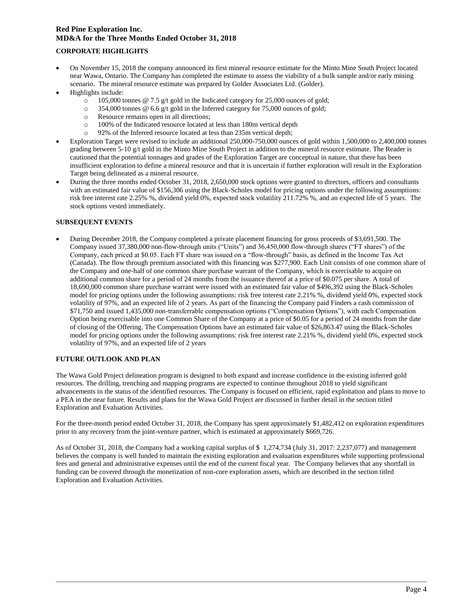# **CORPORATE HIGHLIGHTS**

- On November 15, 2018 the company announced its first mineral resource estimate for the Minto Mine South Project located near Wawa, Ontario. The Company has completed the estimate to assess the viability of a bulk sample and/or early mining scenario. The mineral resource estimate was prepared by Golder Associates Ltd. (Golder).
- Highlights include:
	- o 105,000 tonnes @ 7.5 g/t gold in the Indicated category for 25,000 ounces of gold;
	- o 354,000 tonnes @ 6.6 g/t gold in the Inferred category for 75,000 ounces of gold;
	- o Resource remains open in all directions;
	- o 100% of the Indicated resource located at less than 180m vertical depth
	- o 92% of the Inferred resource located at less than 235m vertical depth;
- Exploration Target were revised to include an additional 250,000-750,000 ounces of gold within 1,500,000 to 2,400,000 tonnes grading between 5-10 g/t gold in the Minto Mine South Project in addition to the mineral resource estimate. The Reader is cautioned that the potential tonnages and grades of the Exploration Target are conceptual in nature, that there has been insufficient exploration to define a mineral resource and that it is uncertain if further exploration will result in the Exploration Target being delineated as a mineral resource.
- During the three months ended October 31, 2018, 2,650,000 stock options were granted to directors, officers and consultants with an estimated fair value of \$156,306 using the Black-Scholes model for pricing options under the following assumptions: risk free interest rate 2.25% %, dividend yield 0%, expected stock volatility 211.72% %, and an expected life of 5 years. The stock options vested immediately.

# **SUBSEQUENT EVENTS**

• During December 2018, the Company completed a private placement financing for gross proceeds of \$3,691,500. The Company issued 37,380,000 non-flow-through units ("Units") and 36,450,000 flow-through shares ("FT shares") of the Company, each priced at \$0.05. Each FT share was issued on a "flow-through" basis, as defined in the Income Tax Act (Canada). The flow through premium associated with this financing was \$277,900. Each Unit consists of one common share of the Company and one-half of one common share purchase warrant of the Company, which is exercisable to acquire on additional common share for a period of 24 months from the issuance thereof at a price of \$0.075 per share. A total of 18,690,000 common share purchase warrant were issued with an estimated fair value of \$496,392 using the Black-Scholes model for pricing options under the following assumptions: risk free interest rate 2.21% %, dividend yield 0%, expected stock volatility of 97%, and an expected life of 2 years. As part of the financing the Company paid Finders a cash commission of \$71,750 and issued 1,435,000 non-transferrable compensation options ("Compensation Options"), with each Compensation Option being exercisable into one Common Share of the Company at a price of \$0.05 for a period of 24 months from the date of closing of the Offering. The Compensation Options have an estimated fair value of \$26,863.47 using the Black-Scholes model for pricing options under the following assumptions: risk free interest rate 2.21% %, dividend yield 0%, expected stock volatility of 97%, and an expected life of 2 years

# **FUTURE OUTLOOK AND PLAN**

The Wawa Gold Project delineation program is designed to both expand and increase confidence in the existing inferred gold resources. The drilling, trenching and mapping programs are expected to continue throughout 2018 to yield significant advancements in the status of the identified resources. The Company is focused on efficient, rapid exploitation and plans to move to a PEA in the near future. Results and plans for the Wawa Gold Project are discussed in further detail in the section titled Exploration and Evaluation Activities.

For the three-month period ended October 31, 2018, the Company has spent approximately \$1,482,412 on exploration expenditures prior to any recovery from the joint-venture partner, which is estimated at approximately \$669,726.

As of October 31, 2018, the Company had a working capital surplus of \$ 1,274,734 (July 31, 2017: 2,237,077) and management believes the company is well funded to maintain the existing exploration and evaluation expenditures while supporting professional fees and general and administrative expenses until the end of the current fiscal year. The Company believes that any shortfall in funding can be covered through the monetization of non-core exploration assets, which are described in the section titled Exploration and Evaluation Activities.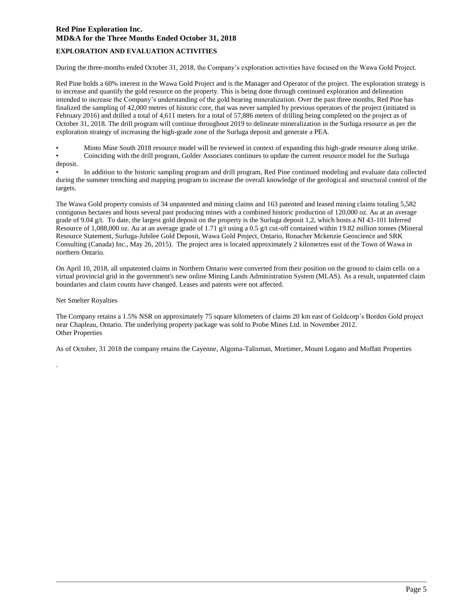# **EXPLORATION AND EVALUATION ACTIVITIES**

During the three-months ended October 31, 2018, the Company's exploration activities have focused on the Wawa Gold Project.

Red Pine holds a 60% interest in the Wawa Gold Project and is the Manager and Operator of the project. The exploration strategy is to increase and quantify the gold resource on the property. This is being done through continued exploration and delineation intended to increase the Company's understanding of the gold bearing mineralization. Over the past three months, Red Pine has finalized the sampling of 42,000 metres of historic core, that was never sampled by previous operators of the project (initiated in February 2016) and drilled a total of 4,611 meters for a total of 57,886 meters of drilling being completed on the project as of October 31, 2018. The drill program will continue throughout 2019 to delineate mineralization in the Surluga resource as per the exploration strategy of increasing the high-grade zone of the Surluga deposit and generate a PEA.

• Minto Mine South 2018 resource model will be reviewed in context of expanding this high-grade resource along strike. • Coinciding with the drill program, Golder Associates continues to update the current resource model for the Surluga

deposit.

• In addition to the historic sampling program and drill program, Red Pine continued modeling and evaluate data collected during the summer trenching and mapping program to increase the overall knowledge of the geological and structural control of the targets.

The Wawa Gold property consists of 34 unpatented and mining claims and 163 patented and leased mining claims totaling 5,582 contiguous hectares and hosts several past producing mines with a combined historic production of 120,000 oz. Au at an average grade of 9.04 g/t. To date, the largest gold deposit on the property is the Surluga deposit 1,2, which hosts a NI 43-101 Inferred Resource of 1,088,000 oz. Au at an average grade of 1.71  $g/t$  using a 0.5  $g/t$  cut-off contained within 19.82 million tonnes (Mineral Resource Statement, Surluga-Jubilee Gold Deposit, Wawa Gold Project, Ontario, Ronacher Mckenzie Geoscience and SRK Consulting (Canada) Inc., May 26, 2015). The project area is located approximately 2 kilometres east of the Town of Wawa in northern Ontario.

On April 10, 2018, all unpatented claims in Northern Ontario were converted from their position on the ground to claim cells on a virtual provincial grid in the government's new online Mining Lands Administration System (MLAS). As a result, unpatented claim boundaries and claim counts have changed. Leases and patents were not affected.

### Net Smelter Royalties

.

The Company retains a 1.5% NSR on approximately 75 square kilometers of claims 20 km east of Goldcorp's Borden Gold project near Chapleau, Ontario. The underlying property package was sold to Probe Mines Ltd. in November 2012. Other Properties

As of October, 31 2018 the company retains the Cayenne, Algoma-Talisman, Mortimer, Mount Logano and Moffatt Properties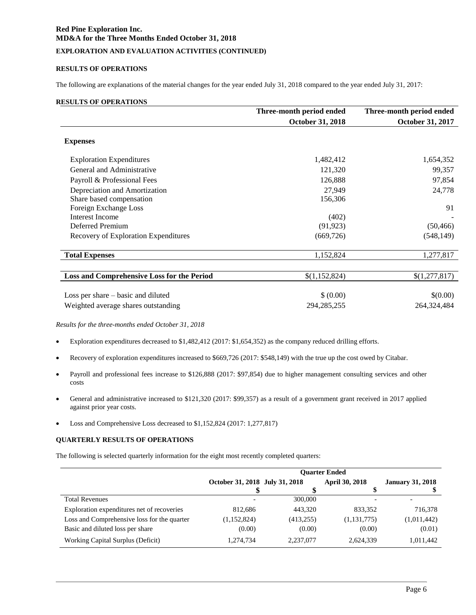# **EXPLORATION AND EVALUATION ACTIVITIES (CONTINUED)**

### **RESULTS OF OPERATIONS**

The following are explanations of the material changes for the year ended July 31, 2018 compared to the year ended July 31, 2017:

### **RESULTS OF OPERATIONS**

|                                                   | Three-month period ended | Three-month period ended |
|---------------------------------------------------|--------------------------|--------------------------|
|                                                   | <b>October 31, 2018</b>  | October 31, 2017         |
| <b>Expenses</b>                                   |                          |                          |
| <b>Exploration Expenditures</b>                   | 1,482,412                | 1,654,352                |
| General and Administrative                        | 121,320                  | 99,357                   |
| Payroll & Professional Fees                       | 126,888                  | 97,854                   |
| Depreciation and Amortization                     | 27,949                   | 24,778                   |
| Share based compensation                          | 156,306                  |                          |
| Foreign Exchange Loss                             |                          | 91                       |
| Interest Income                                   | (402)                    |                          |
| Deferred Premium                                  | (91, 923)                | (50, 466)                |
| Recovery of Exploration Expenditures              | (669, 726)               | (548, 149)               |
| <b>Total Expenses</b>                             | 1,152,824                | 1,277,817                |
| <b>Loss and Comprehensive Loss for the Period</b> | \$(1,152,824)            | \$(1,277,817)            |
| Loss per share $-$ basic and diluted              | \$ (0.00)                | \$(0.00)                 |
| Weighted average shares outstanding               | 294,285,255              | 264,324,484              |

*Results for the three-months ended October 31, 2018*

- Exploration expenditures decreased to \$1,482,412 (2017: \$1,654,352) as the company reduced drilling efforts.
- Recovery of exploration expenditures increased to \$669,726 (2017: \$548,149) with the true up the cost owed by Citabar.
- Payroll and professional fees increase to \$126,888 (2017: \$97,854) due to higher management consulting services and other costs
- General and administrative increased to \$121,320 (2017: \$99,357) as a result of a government grant received in 2017 applied against prior year costs.
- Loss and Comprehensive Loss decreased to \$1,152,824 (2017: 1,277,817)

## **QUARTERLY RESULTS OF OPERATIONS**

The following is selected quarterly information for the eight most recently completed quarters:

|                                             | <b>Ouarter Ended</b>           |            |                       |                         |  |
|---------------------------------------------|--------------------------------|------------|-----------------------|-------------------------|--|
|                                             | October 31, 2018 July 31, 2018 |            | <b>April 30, 2018</b> | <b>January 31, 2018</b> |  |
|                                             |                                |            |                       |                         |  |
| <b>Total Revenues</b>                       |                                | 300,000    |                       |                         |  |
| Exploration expenditures net of recoveries  | 812.686                        | 443,320    | 833,352               | 716,378                 |  |
| Loss and Comprehensive loss for the quarter | (1, 152, 824)                  | (413, 255) | (1,131,775)           | (1,011,442)             |  |
| Basic and diluted loss per share            | (0.00)                         | (0.00)     | (0.00)                | (0.01)                  |  |
| Working Capital Surplus (Deficit)           | 1,274,734                      | 2,237,077  | 2,624,339             | 1,011,442               |  |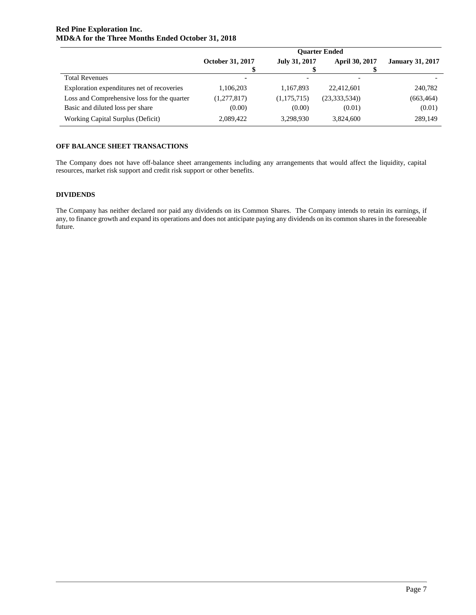|                                             | <b>Ouarter Ended</b> |               |                |                         |  |
|---------------------------------------------|----------------------|---------------|----------------|-------------------------|--|
|                                             | October 31, 2017     | July 31, 2017 | April 30, 2017 | <b>January 31, 2017</b> |  |
| <b>Total Revenues</b>                       | ٠                    |               |                |                         |  |
| Exploration expenditures net of recoveries  | 1,106,203            | 1,167,893     | 22,412,601     | 240,782                 |  |
| Loss and Comprehensive loss for the quarter | (1,277,817)          | (1,175,715)   | (23,333,534)   | (663, 464)              |  |
| Basic and diluted loss per share            | (0.00)               | (0.00)        | (0.01)         | (0.01)                  |  |
| Working Capital Surplus (Deficit)           | 2,089,422            | 3,298,930     | 3,824,600      | 289,149                 |  |

## **OFF BALANCE SHEET TRANSACTIONS**

The Company does not have off-balance sheet arrangements including any arrangements that would affect the liquidity, capital resources, market risk support and credit risk support or other benefits.

### **DIVIDENDS**

The Company has neither declared nor paid any dividends on its Common Shares. The Company intends to retain its earnings, if any, to finance growth and expand its operations and does not anticipate paying any dividends on its common shares in the foreseeable future.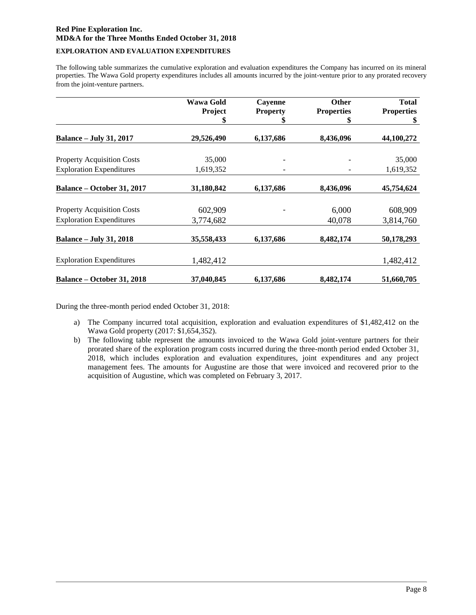# **EXPLORATION AND EVALUATION EXPENDITURES**

The following table summarizes the cumulative exploration and evaluation expenditures the Company has incurred on its mineral properties. The Wawa Gold property expenditures includes all amounts incurred by the joint-venture prior to any prorated recovery from the joint-venture partners.

|                                   | Wawa Gold<br>Project<br>\$ | Cayenne<br><b>Property</b><br>Φ | <b>Other</b><br><b>Properties</b><br>5 | <b>Total</b><br><b>Properties</b><br>Y, |
|-----------------------------------|----------------------------|---------------------------------|----------------------------------------|-----------------------------------------|
|                                   |                            |                                 |                                        |                                         |
| <b>Balance - July 31, 2017</b>    | 29,526,490                 | 6,137,686                       | 8,436,096                              | 44,100,272                              |
| <b>Property Acquisition Costs</b> | 35,000                     |                                 |                                        | 35,000                                  |
| <b>Exploration Expenditures</b>   | 1,619,352                  |                                 |                                        | 1,619,352                               |
| <b>Balance – October 31, 2017</b> | 31,180,842                 | 6,137,686                       | 8,436,096                              | 45,754,624                              |
| <b>Property Acquisition Costs</b> | 602,909                    |                                 | 6,000                                  | 608,909                                 |
| <b>Exploration Expenditures</b>   | 3,774,682                  |                                 | 40,078                                 | 3,814,760                               |
| <b>Balance – July 31, 2018</b>    | 35,558,433                 | 6,137,686                       | 8,482,174                              | 50,178,293                              |
| <b>Exploration Expenditures</b>   | 1,482,412                  |                                 |                                        | 1,482,412                               |
| Balance – October 31, 2018        | 37,040,845                 | 6,137,686                       | 8,482,174                              | 51,660,705                              |

During the three-month period ended October 31, 2018:

- a) The Company incurred total acquisition, exploration and evaluation expenditures of \$1,482,412 on the Wawa Gold property (2017: \$1,654,352).
- b) The following table represent the amounts invoiced to the Wawa Gold joint-venture partners for their prorated share of the exploration program costs incurred during the three-month period ended October 31, 2018, which includes exploration and evaluation expenditures, joint expenditures and any project management fees. The amounts for Augustine are those that were invoiced and recovered prior to the acquisition of Augustine, which was completed on February 3, 2017.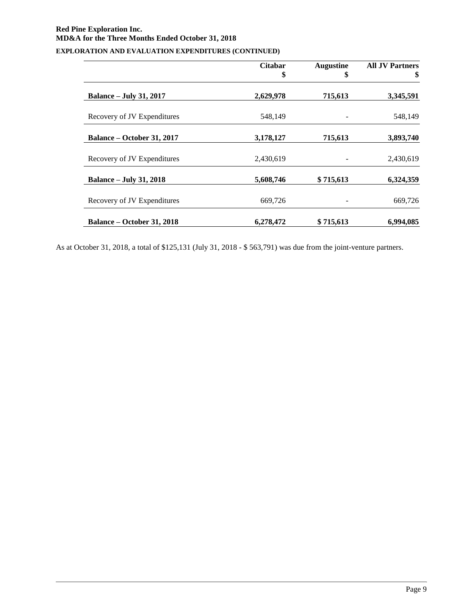# **EXPLORATION AND EVALUATION EXPENDITURES (CONTINUED)**

|                                | <b>Citabar</b> | <b>Augustine</b> | <b>All JV Partners</b> |
|--------------------------------|----------------|------------------|------------------------|
|                                | \$             | \$               | S                      |
| <b>Balance – July 31, 2017</b> | 2,629,978      | 715,613          | 3,345,591              |
| Recovery of JV Expenditures    | 548,149        |                  | 548,149                |
| Balance – October 31, 2017     | 3,178,127      | 715,613          | 3,893,740              |
| Recovery of JV Expenditures    | 2,430,619      |                  | 2,430,619              |
| <b>Balance – July 31, 2018</b> | 5,608,746      | \$715,613        | 6,324,359              |
| Recovery of JV Expenditures    | 669,726        |                  | 669,726                |
| Balance – October 31, 2018     | 6.278.472      | \$715,613        | 6,994,085              |

As at October 31, 2018, a total of \$125,131 (July 31, 2018 - \$ 563,791) was due from the joint-venture partners.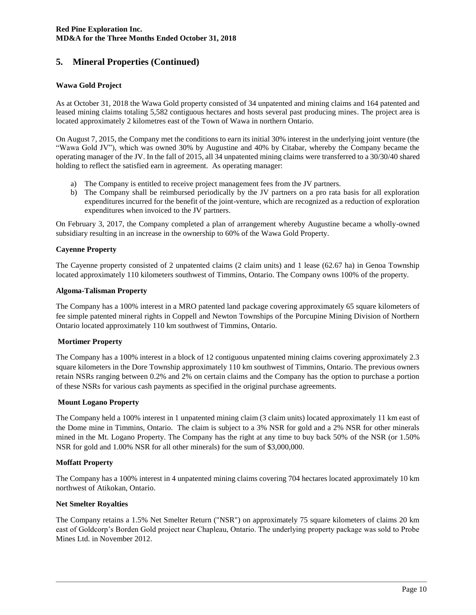# **5. Mineral Properties (Continued)**

# **Wawa Gold Project**

As at October 31, 2018 the Wawa Gold property consisted of 34 unpatented and mining claims and 164 patented and leased mining claims totaling 5,582 contiguous hectares and hosts several past producing mines. The project area is located approximately 2 kilometres east of the Town of Wawa in northern Ontario.

On August 7, 2015, the Company met the conditions to earn its initial 30% interest in the underlying joint venture (the "Wawa Gold JV"), which was owned 30% by Augustine and 40% by Citabar, whereby the Company became the operating manager of the JV. In the fall of 2015, all 34 unpatented mining claims were transferred to a 30/30/40 shared holding to reflect the satisfied earn in agreement. As operating manager:

- a) The Company is entitled to receive project management fees from the JV partners.
- b) The Company shall be reimbursed periodically by the JV partners on a pro rata basis for all exploration expenditures incurred for the benefit of the joint-venture, which are recognized as a reduction of exploration expenditures when invoiced to the JV partners.

On February 3, 2017, the Company completed a plan of arrangement whereby Augustine became a wholly-owned subsidiary resulting in an increase in the ownership to 60% of the Wawa Gold Property.

# **Cayenne Property**

The Cayenne property consisted of 2 unpatented claims (2 claim units) and 1 lease (62.67 ha) in Genoa Township located approximately 110 kilometers southwest of Timmins, Ontario. The Company owns 100% of the property.

# **Algoma-Talisman Property**

The Company has a 100% interest in a MRO patented land package covering approximately 65 square kilometers of fee simple patented mineral rights in Coppell and Newton Townships of the Porcupine Mining Division of Northern Ontario located approximately 110 km southwest of Timmins, Ontario.

# **Mortimer Property**

The Company has a 100% interest in a block of 12 contiguous unpatented mining claims covering approximately 2.3 square kilometers in the Dore Township approximately 110 km southwest of Timmins, Ontario. The previous owners retain NSRs ranging between 0.2% and 2% on certain claims and the Company has the option to purchase a portion of these NSRs for various cash payments as specified in the original purchase agreements.

# **Mount Logano Property**

The Company held a 100% interest in 1 unpatented mining claim (3 claim units) located approximately 11 km east of the Dome mine in Timmins, Ontario. The claim is subject to a 3% NSR for gold and a 2% NSR for other minerals mined in the Mt. Logano Property. The Company has the right at any time to buy back 50% of the NSR (or 1.50% NSR for gold and 1.00% NSR for all other minerals) for the sum of \$3,000,000.

# **Moffatt Property**

The Company has a 100% interest in 4 unpatented mining claims covering 704 hectares located approximately 10 km northwest of Atikokan, Ontario.

# **Net Smelter Royalties**

The Company retains a 1.5% Net Smelter Return ("NSR") on approximately 75 square kilometers of claims 20 km east of Goldcorp's Borden Gold project near Chapleau, Ontario. The underlying property package was sold to Probe Mines Ltd. in November 2012.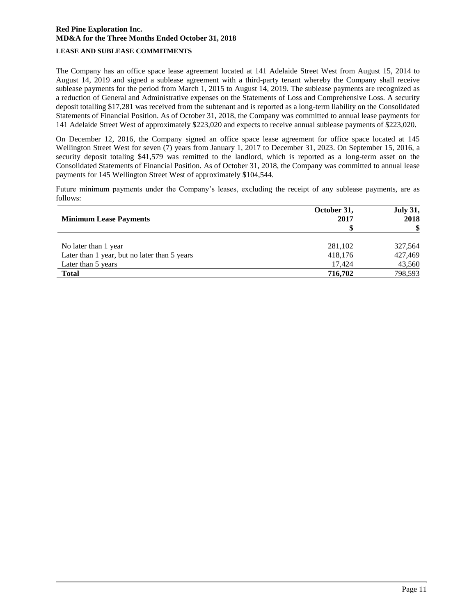# **LEASE AND SUBLEASE COMMITMENTS**

The Company has an office space lease agreement located at 141 Adelaide Street West from August 15, 2014 to August 14, 2019 and signed a sublease agreement with a third-party tenant whereby the Company shall receive sublease payments for the period from March 1, 2015 to August 14, 2019. The sublease payments are recognized as a reduction of General and Administrative expenses on the Statements of Loss and Comprehensive Loss. A security deposit totalling \$17,281 was received from the subtenant and is reported as a long-term liability on the Consolidated Statements of Financial Position. As of October 31, 2018, the Company was committed to annual lease payments for 141 Adelaide Street West of approximately \$223,020 and expects to receive annual sublease payments of \$223,020.

On December 12, 2016, the Company signed an office space lease agreement for office space located at 145 Wellington Street West for seven (7) years from January 1, 2017 to December 31, 2023. On September 15, 2016, a security deposit totaling \$41,579 was remitted to the landlord, which is reported as a long-term asset on the Consolidated Statements of Financial Position. As of October 31, 2018, the Company was committed to annual lease payments for 145 Wellington Street West of approximately \$104,544.

Future minimum payments under the Company's leases, excluding the receipt of any sublease payments, are as follows:

| <b>Minimum Lease Payments</b>                | October 31,<br>2017 | <b>July 31,</b><br>2018 |
|----------------------------------------------|---------------------|-------------------------|
| No later than 1 year                         | 281,102             | 327.564                 |
| Later than 1 year, but no later than 5 years | 418,176             | 427,469                 |
| Later than 5 years                           | 17.424              | 43,560                  |
| <b>Total</b>                                 | 716,702             | 798,593                 |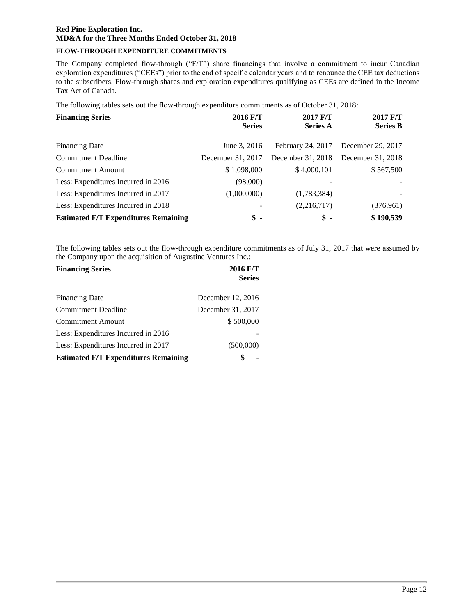# **FLOW-THROUGH EXPENDITURE COMMITMENTS**

The Company completed flow-through ("F/T") share financings that involve a commitment to incur Canadian exploration expenditures ("CEEs") prior to the end of specific calendar years and to renounce the CEE tax deductions to the subscribers. Flow-through shares and exploration expenditures qualifying as CEEs are defined in the Income Tax Act of Canada.

|  |  |  | The following tables sets out the flow-through expenditure commitments as of October 31, 2018: |  |  |
|--|--|--|------------------------------------------------------------------------------------------------|--|--|
|  |  |  |                                                                                                |  |  |
|  |  |  |                                                                                                |  |  |
|  |  |  |                                                                                                |  |  |

| <b>Financing Series</b>                     | 2016 F/T          | 2017 F/T             | 2017 F/T          |
|---------------------------------------------|-------------------|----------------------|-------------------|
|                                             | <b>Series</b>     | <b>Series A</b>      | <b>Series B</b>   |
| <b>Financing Date</b>                       | June 3, 2016      | February 24, 2017    | December 29, 2017 |
| <b>Commitment Deadline</b>                  | December 31, 2017 | December 31, 2018    | December 31, 2018 |
| <b>Commitment Amount</b>                    | \$1,098,000       | \$4,000,101          | \$567,500         |
| Less: Expenditures Incurred in 2016         | (98,000)          |                      |                   |
| Less: Expenditures Incurred in 2017         | (1,000,000)       | (1,783,384)          |                   |
| Less: Expenditures Incurred in 2018         |                   | (2,216,717)          | (376.961)         |
| <b>Estimated F/T Expenditures Remaining</b> | \$                | \$<br>$\blacksquare$ | \$190,539         |

The following tables sets out the flow-through expenditure commitments as of July 31, 2017 that were assumed by the Company upon the acquisition of Augustine Ventures Inc.:

| <b>Financing Series</b>                     | 2016 F/T<br><b>Series</b> |
|---------------------------------------------|---------------------------|
| <b>Financing Date</b>                       | December 12, 2016         |
| <b>Commitment Deadline</b>                  | December 31, 2017         |
| <b>Commitment Amount</b>                    | \$500,000                 |
| Less: Expenditures Incurred in 2016         |                           |
| Less: Expenditures Incurred in 2017         | (500,000)                 |
| <b>Estimated F/T Expenditures Remaining</b> | \$                        |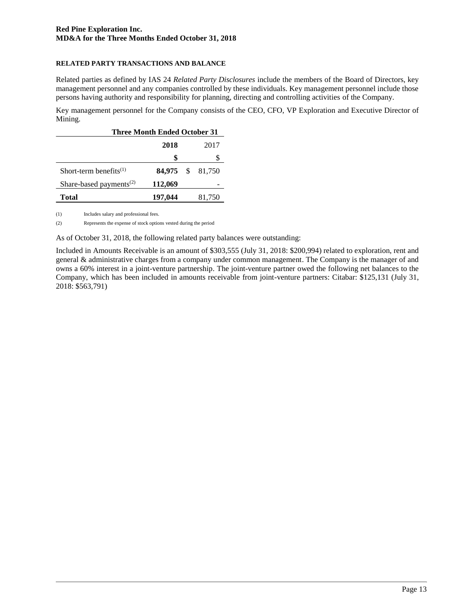## **RELATED PARTY TRANSACTIONS AND BALANCE**

Related parties as defined by IAS 24 *Related Party Disclosures* include the members of the Board of Directors, key management personnel and any companies controlled by these individuals. Key management personnel include those persons having authority and responsibility for planning, directing and controlling activities of the Company.

Key management personnel for the Company consists of the CEO, CFO, VP Exploration and Executive Director of Mining.

| <b>Three Month Ended October 31</b>              |         |  |                         |  |  |
|--------------------------------------------------|---------|--|-------------------------|--|--|
|                                                  | 2018    |  | 2017                    |  |  |
|                                                  | \$      |  | S                       |  |  |
| Short-term benefits <sup><math>(1)</math></sup>  |         |  | <b>84,975</b> \$ 81,750 |  |  |
| Share-based payments <sup><math>(2)</math></sup> | 112,069 |  |                         |  |  |
| Total                                            | 197,044 |  | 81,750                  |  |  |

(1) Includes salary and professional fees.

(2) Represents the expense of stock options vested during the period

As of October 31, 2018, the following related party balances were outstanding:

Included in Amounts Receivable is an amount of \$303,555 (July 31, 2018: \$200,994) related to exploration, rent and general & administrative charges from a company under common management. The Company is the manager of and owns a 60% interest in a joint-venture partnership. The joint-venture partner owed the following net balances to the Company, which has been included in amounts receivable from joint-venture partners: Citabar: \$125,131 (July 31, 2018: \$563,791)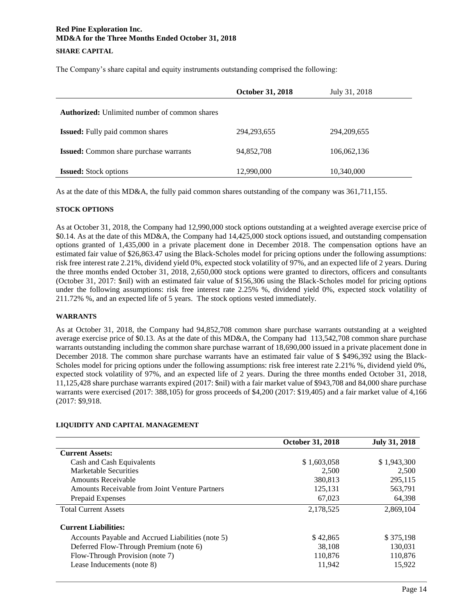# **Red Pine Exploration Inc. MD&A for the Three Months Ended October 31, 2018 SHARE CAPITAL**

The Company's share capital and equity instruments outstanding comprised the following:

|                                                      | <b>October 31, 2018</b> | July 31, 2018 |
|------------------------------------------------------|-------------------------|---------------|
| <b>Authorized:</b> Unlimited number of common shares |                         |               |
| <b>Issued:</b> Fully paid common shares              | 294, 293, 655           | 294, 209, 655 |
| <b>Issued:</b> Common share purchase warrants        | 94,852,708              | 106,062,136   |
| <b>Issued:</b> Stock options                         | 12,990,000              | 10,340,000    |

As at the date of this MD&A, the fully paid common shares outstanding of the company was 361,711,155.

## **STOCK OPTIONS**

As at October 31, 2018, the Company had 12,990,000 stock options outstanding at a weighted average exercise price of \$0.14. As at the date of this MD&A, the Company had 14,425,000 stock options issued, and outstanding compensation options granted of 1,435,000 in a private placement done in December 2018. The compensation options have an estimated fair value of \$26,863.47 using the Black-Scholes model for pricing options under the following assumptions: risk free interest rate 2.21%, dividend yield 0%, expected stock volatility of 97%, and an expected life of 2 years. During the three months ended October 31, 2018, 2,650,000 stock options were granted to directors, officers and consultants (October 31, 2017: \$nil) with an estimated fair value of \$156,306 using the Black-Scholes model for pricing options under the following assumptions: risk free interest rate 2.25% %, dividend yield 0%, expected stock volatility of 211.72% %, and an expected life of 5 years. The stock options vested immediately.

### **WARRANTS**

As at October 31, 2018, the Company had 94,852,708 common share purchase warrants outstanding at a weighted average exercise price of \$0.13. As at the date of this MD&A, the Company had 113,542,708 common share purchase warrants outstanding including the common share purchase warrant of 18,690,000 issued in a private placement done in December 2018. The common share purchase warrants have an estimated fair value of \$ \$496,392 using the Black-Scholes model for pricing options under the following assumptions: risk free interest rate 2.21% %, dividend yield 0%, expected stock volatility of 97%, and an expected life of 2 years. During the three months ended October 31, 2018, 11,125,428 share purchase warrants expired (2017: \$nil) with a fair market value of \$943,708 and 84,000 share purchase warrants were exercised (2017: 388,105) for gross proceeds of \$4,200 (2017: \$19,405) and a fair market value of 4,166 (2017: \$9,918.

|                                                   | <b>October 31, 2018</b> | <b>July 31, 2018</b> |
|---------------------------------------------------|-------------------------|----------------------|
| <b>Current Assets:</b>                            |                         |                      |
| Cash and Cash Equivalents                         | \$1,603,058             | \$1,943,300          |
| Marketable Securities                             | 2,500                   | 2,500                |
| <b>Amounts Receivable</b>                         | 380,813                 | 295,115              |
| Amounts Receivable from Joint Venture Partners    | 125.131                 | 563.791              |
| Prepaid Expenses                                  | 67,023                  | 64,398               |
| <b>Total Current Assets</b>                       | 2,178,525               | 2,869,104            |
| <b>Current Liabilities:</b>                       |                         |                      |
| Accounts Payable and Accrued Liabilities (note 5) | \$42,865                | \$375,198            |
| Deferred Flow-Through Premium (note 6)            | 38,108                  | 130,031              |
| Flow-Through Provision (note 7)                   | 110.876                 | 110,876              |
| Lease Inducements (note 8)                        | 11,942                  | 15,922               |

# **LIQUIDITY AND CAPITAL MANAGEMENT**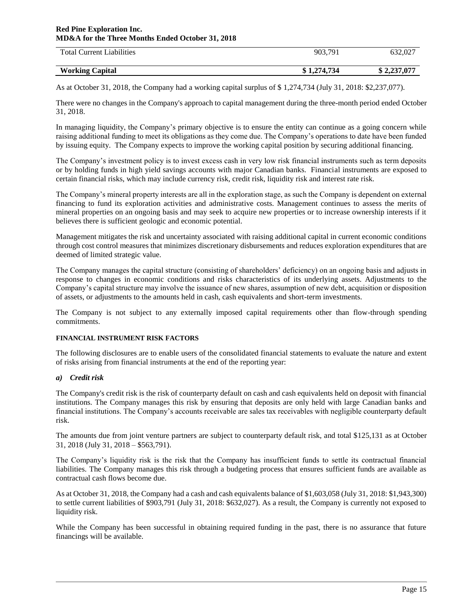| <b>Total Current Liabilities</b> | 903.791     | 632,027     |
|----------------------------------|-------------|-------------|
| <b>Working Capital</b>           | \$1,274,734 | \$2,237,077 |

As at October 31, 2018, the Company had a working capital surplus of \$ 1,274,734 (July 31, 2018: \$2,237,077).

There were no changes in the Company's approach to capital management during the three-month period ended October 31, 2018.

In managing liquidity, the Company's primary objective is to ensure the entity can continue as a going concern while raising additional funding to meet its obligations as they come due. The Company's operations to date have been funded by issuing equity. The Company expects to improve the working capital position by securing additional financing.

The Company's investment policy is to invest excess cash in very low risk financial instruments such as term deposits or by holding funds in high yield savings accounts with major Canadian banks. Financial instruments are exposed to certain financial risks, which may include currency risk, credit risk, liquidity risk and interest rate risk.

The Company's mineral property interests are all in the exploration stage, as such the Company is dependent on external financing to fund its exploration activities and administrative costs. Management continues to assess the merits of mineral properties on an ongoing basis and may seek to acquire new properties or to increase ownership interests if it believes there is sufficient geologic and economic potential.

Management mitigates the risk and uncertainty associated with raising additional capital in current economic conditions through cost control measures that minimizes discretionary disbursements and reduces exploration expenditures that are deemed of limited strategic value.

The Company manages the capital structure (consisting of shareholders' deficiency) on an ongoing basis and adjusts in response to changes in economic conditions and risks characteristics of its underlying assets. Adjustments to the Company's capital structure may involve the issuance of new shares, assumption of new debt, acquisition or disposition of assets, or adjustments to the amounts held in cash, cash equivalents and short-term investments.

The Company is not subject to any externally imposed capital requirements other than flow-through spending commitments.

# **FINANCIAL INSTRUMENT RISK FACTORS**

The following disclosures are to enable users of the consolidated financial statements to evaluate the nature and extent of risks arising from financial instruments at the end of the reporting year:

# *a) Credit risk*

The Company's credit risk is the risk of counterparty default on cash and cash equivalents held on deposit with financial institutions. The Company manages this risk by ensuring that deposits are only held with large Canadian banks and financial institutions. The Company's accounts receivable are sales tax receivables with negligible counterparty default risk.

The amounts due from joint venture partners are subject to counterparty default risk, and total \$125,131 as at October 31, 2018 (July 31, 2018 – \$563,791).

The Company's liquidity risk is the risk that the Company has insufficient funds to settle its contractual financial liabilities. The Company manages this risk through a budgeting process that ensures sufficient funds are available as contractual cash flows become due.

As at October 31, 2018, the Company had a cash and cash equivalents balance of \$1,603,058 (July 31, 2018: \$1,943,300) to settle current liabilities of \$903,791 (July 31, 2018: \$632,027). As a result, the Company is currently not exposed to liquidity risk.

While the Company has been successful in obtaining required funding in the past, there is no assurance that future financings will be available.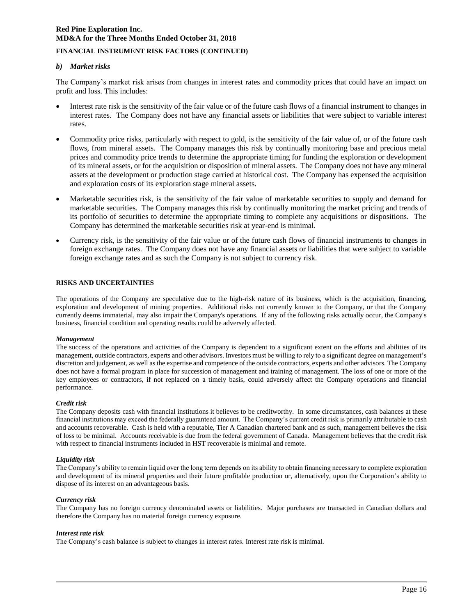## **FINANCIAL INSTRUMENT RISK FACTORS (CONTINUED)**

## *b) Market risks*

The Company's market risk arises from changes in interest rates and commodity prices that could have an impact on profit and loss. This includes:

- Interest rate risk is the sensitivity of the fair value or of the future cash flows of a financial instrument to changes in interest rates. The Company does not have any financial assets or liabilities that were subject to variable interest rates.
- Commodity price risks, particularly with respect to gold, is the sensitivity of the fair value of, or of the future cash flows, from mineral assets. The Company manages this risk by continually monitoring base and precious metal prices and commodity price trends to determine the appropriate timing for funding the exploration or development of its mineral assets, or for the acquisition or disposition of mineral assets. The Company does not have any mineral assets at the development or production stage carried at historical cost. The Company has expensed the acquisition and exploration costs of its exploration stage mineral assets.
- Marketable securities risk, is the sensitivity of the fair value of marketable securities to supply and demand for marketable securities. The Company manages this risk by continually monitoring the market pricing and trends of its portfolio of securities to determine the appropriate timing to complete any acquisitions or dispositions. The Company has determined the marketable securities risk at year-end is minimal.
- Currency risk, is the sensitivity of the fair value or of the future cash flows of financial instruments to changes in foreign exchange rates. The Company does not have any financial assets or liabilities that were subject to variable foreign exchange rates and as such the Company is not subject to currency risk.

### **RISKS AND UNCERTAINTIES**

The operations of the Company are speculative due to the high-risk nature of its business, which is the acquisition, financing, exploration and development of mining properties. Additional risks not currently known to the Company, or that the Company currently deems immaterial, may also impair the Company's operations. If any of the following risks actually occur, the Company's business, financial condition and operating results could be adversely affected.

### *Management*

The success of the operations and activities of the Company is dependent to a significant extent on the efforts and abilities of its management, outside contractors, experts and other advisors. Investors must be willing to rely to a significant degree on management's discretion and judgement, as well as the expertise and competence of the outside contractors, experts and other advisors. The Company does not have a formal program in place for succession of management and training of management. The loss of one or more of the key employees or contractors, if not replaced on a timely basis, could adversely affect the Company operations and financial performance.

### *Credit risk*

The Company deposits cash with financial institutions it believes to be creditworthy. In some circumstances, cash balances at these financial institutions may exceed the federally guaranteed amount. The Company's current credit risk is primarily attributable to cash and accounts recoverable. Cash is held with a reputable, Tier A Canadian chartered bank and as such, management believes the risk of loss to be minimal. Accounts receivable is due from the federal government of Canada. Management believes that the credit risk with respect to financial instruments included in HST recoverable is minimal and remote.

#### *Liquidity risk*

The Company's ability to remain liquid over the long term depends on its ability to obtain financing necessary to complete exploration and development of its mineral properties and their future profitable production or, alternatively, upon the Corporation's ability to dispose of its interest on an advantageous basis.

### *Currency risk*

The Company has no foreign currency denominated assets or liabilities. Major purchases are transacted in Canadian dollars and therefore the Company has no material foreign currency exposure.

#### *Interest rate risk*

The Company's cash balance is subject to changes in interest rates. Interest rate risk is minimal.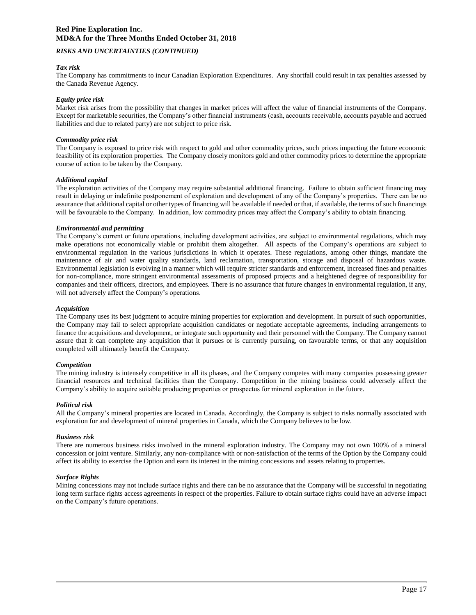## *RISKS AND UNCERTAINTIES (CONTINUED)*

#### *Tax risk*

The Company has commitments to incur Canadian Exploration Expenditures. Any shortfall could result in tax penalties assessed by the Canada Revenue Agency.

#### *Equity price risk*

Market risk arises from the possibility that changes in market prices will affect the value of financial instruments of the Company. Except for marketable securities, the Company's other financial instruments (cash, accounts receivable, accounts payable and accrued liabilities and due to related party) are not subject to price risk.

#### *Commodity price risk*

The Company is exposed to price risk with respect to gold and other commodity prices, such prices impacting the future economic feasibility of its exploration properties. The Company closely monitors gold and other commodity prices to determine the appropriate course of action to be taken by the Company.

#### *Additional capital*

The exploration activities of the Company may require substantial additional financing. Failure to obtain sufficient financing may result in delaying or indefinite postponement of exploration and development of any of the Company's properties. There can be no assurance that additional capital or other types of financing will be available if needed or that, if available, the terms of such financings will be favourable to the Company. In addition, low commodity prices may affect the Company's ability to obtain financing.

#### *Environmental and permitting*

The Company's current or future operations, including development activities, are subject to environmental regulations, which may make operations not economically viable or prohibit them altogether. All aspects of the Company's operations are subject to environmental regulation in the various jurisdictions in which it operates. These regulations, among other things, mandate the maintenance of air and water quality standards, land reclamation, transportation, storage and disposal of hazardous waste. Environmental legislation is evolving in a manner which will require stricter standards and enforcement, increased fines and penalties for non-compliance, more stringent environmental assessments of proposed projects and a heightened degree of responsibility for companies and their officers, directors, and employees. There is no assurance that future changes in environmental regulation, if any, will not adversely affect the Company's operations.

#### *Acquisition*

The Company uses its best judgment to acquire mining properties for exploration and development. In pursuit of such opportunities, the Company may fail to select appropriate acquisition candidates or negotiate acceptable agreements, including arrangements to finance the acquisitions and development, or integrate such opportunity and their personnel with the Company. The Company cannot assure that it can complete any acquisition that it pursues or is currently pursuing, on favourable terms, or that any acquisition completed will ultimately benefit the Company.

### *Competition*

The mining industry is intensely competitive in all its phases, and the Company competes with many companies possessing greater financial resources and technical facilities than the Company. Competition in the mining business could adversely affect the Company's ability to acquire suitable producing properties or prospectus for mineral exploration in the future.

### *Political risk*

All the Company's mineral properties are located in Canada. Accordingly, the Company is subject to risks normally associated with exploration for and development of mineral properties in Canada, which the Company believes to be low.

#### *Business risk*

There are numerous business risks involved in the mineral exploration industry. The Company may not own 100% of a mineral concession or joint venture. Similarly, any non-compliance with or non-satisfaction of the terms of the Option by the Company could affect its ability to exercise the Option and earn its interest in the mining concessions and assets relating to properties.

#### *Surface Rights*

Mining concessions may not include surface rights and there can be no assurance that the Company will be successful in negotiating long term surface rights access agreements in respect of the properties. Failure to obtain surface rights could have an adverse impact on the Company's future operations.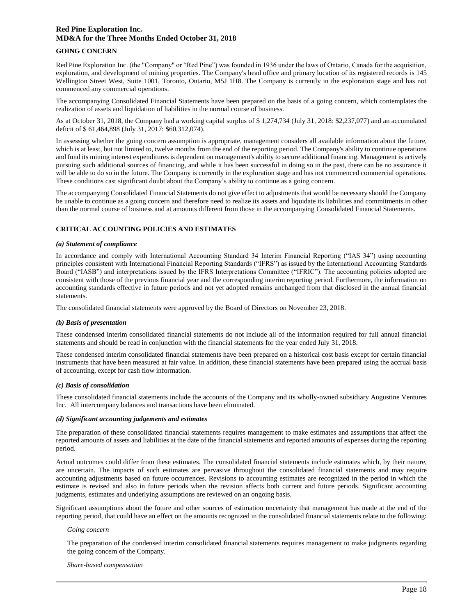### **GOING CONCERN**

Red Pine Exploration Inc. (the "Company" or "Red Pine") was founded in 1936 under the laws of Ontario, Canada for the acquisition, exploration, and development of mining properties. The Company's head office and primary location of its registered records is 145 Wellington Street West, Suite 1001, Toronto, Ontario, M5J 1H8. The Company is currently in the exploration stage and has not commenced any commercial operations.

The accompanying Consolidated Financial Statements have been prepared on the basis of a going concern, which contemplates the realization of assets and liquidation of liabilities in the normal course of business.

As at October 31, 2018, the Company had a working capital surplus of \$ 1,274,734 (July 31, 2018: \$2,237,077) and an accumulated deficit of \$ 61,464,898 (July 31, 2017: \$60,312,074).

In assessing whether the going concern assumption is appropriate, management considers all available information about the future, which is at least, but not limited to, twelve months from the end of the reporting period. The Company's ability to continue operations and fund its mining interest expenditures is dependent on management's ability to secure additional financing. Management is actively pursuing such additional sources of financing, and while it has been successful in doing so in the past, there can be no assurance it will be able to do so in the future. The Company is currently in the exploration stage and has not commenced commercial operations. These conditions cast significant doubt about the Company's ability to continue as a going concern.

The accompanying Consolidated Financial Statements do not give effect to adjustments that would be necessary should the Company be unable to continue as a going concern and therefore need to realize its assets and liquidate its liabilities and commitments in other than the normal course of business and at amounts different from those in the accompanying Consolidated Financial Statements.

## **CRITICAL ACCOUNTING POLICIES AND ESTIMATES**

#### *(a) Statement of compliance*

In accordance and comply with International Accounting Standard 34 Interim Financial Reporting ("IAS 34") using accounting principles consistent with International Financial Reporting Standards ("IFRS") as issued by the International Accounting Standards Board ("IASB") and interpretations issued by the IFRS Interpretations Committee ("IFRIC"). The accounting policies adopted are consistent with those of the previous financial year and the corresponding interim reporting period. Furthermore, the information on accounting standards effective in future periods and not yet adopted remains unchanged from that disclosed in the annual financial statements.

The consolidated financial statements were approved by the Board of Directors on November 23, 2018.

#### *(b) Basis of presentation*

These condensed interim consolidated financial statements do not include all of the information required for full annual financial statements and should be read in conjunction with the financial statements for the year ended July 31, 2018.

These condensed interim consolidated financial statements have been prepared on a historical cost basis except for certain financial instruments that have been measured at fair value. In addition, these financial statements have been prepared using the accrual basis of accounting, except for cash flow information.

#### *(c) Basis of consolidation*

These consolidated financial statements include the accounts of the Company and its wholly-owned subsidiary Augustine Ventures Inc. All intercompany balances and transactions have been eliminated.

#### *(d) Significant accounting judgements and estimates*

The preparation of these consolidated financial statements requires management to make estimates and assumptions that affect the reported amounts of assets and liabilities at the date of the financial statements and reported amounts of expenses during the reporting period.

Actual outcomes could differ from these estimates. The consolidated financial statements include estimates which, by their nature, are uncertain. The impacts of such estimates are pervasive throughout the consolidated financial statements and may require accounting adjustments based on future occurrences. Revisions to accounting estimates are recognized in the period in which the estimate is revised and also in future periods when the revision affects both current and future periods. Significant accounting judgments, estimates and underlying assumptions are reviewed on an ongoing basis.

Significant assumptions about the future and other sources of estimation uncertainty that management has made at the end of the reporting period, that could have an effect on the amounts recognized in the consolidated financial statements relate to the following:

#### *Going concern*

The preparation of the condensed interim consolidated financial statements requires management to make judgments regarding the going concern of the Company.

#### *Share-based compensation*